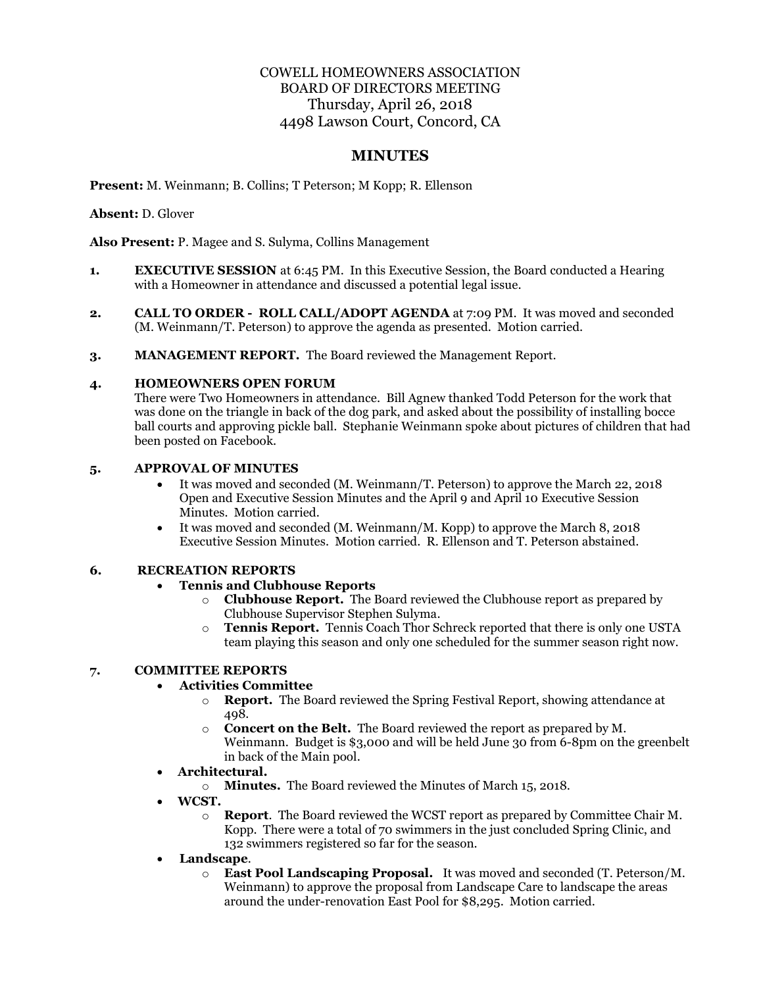# COWELL HOMEOWNERS ASSOCIATION BOARD OF DIRECTORS MEETING Thursday, April 26, 2018 4498 Lawson Court, Concord, CA

# **MINUTES**

**Present:** M. Weinmann; B. Collins; T Peterson; M Kopp; R. Ellenson

**Absent:** D. Glover

**Also Present:** P. Magee and S. Sulyma, Collins Management

- **1. EXECUTIVE SESSION** at 6:45 PM. In this Executive Session, the Board conducted a Hearing with a Homeowner in attendance and discussed a potential legal issue.
- **2. CALL TO ORDER ROLL CALL/ADOPT AGENDA** at 7:09 PM. It was moved and seconded (M. Weinmann/T. Peterson) to approve the agenda as presented. Motion carried.
- **3. MANAGEMENT REPORT.** The Board reviewed the Management Report.

## **4. HOMEOWNERS OPEN FORUM**

There were Two Homeowners in attendance. Bill Agnew thanked Todd Peterson for the work that was done on the triangle in back of the dog park, and asked about the possibility of installing bocce ball courts and approving pickle ball. Stephanie Weinmann spoke about pictures of children that had been posted on Facebook.

### **5. APPROVAL OF MINUTES**

- It was moved and seconded (M. Weinmann/T. Peterson) to approve the March 22, 2018 Open and Executive Session Minutes and the April 9 and April 10 Executive Session Minutes. Motion carried.
- It was moved and seconded (M. Weinmann/M. Kopp) to approve the March 8, 2018 Executive Session Minutes. Motion carried. R. Ellenson and T. Peterson abstained.

#### **6. RECREATION REPORTS**

### • **Tennis and Clubhouse Reports**

- o **Clubhouse Report.** The Board reviewed the Clubhouse report as prepared by Clubhouse Supervisor Stephen Sulyma.
- o **Tennis Report.** Tennis Coach Thor Schreck reported that there is only one USTA team playing this season and only one scheduled for the summer season right now.

#### **7. COMMITTEE REPORTS**

#### • **Activities Committee**

- o **Report.** The Board reviewed the Spring Festival Report, showing attendance at 498.
- o **Concert on the Belt.** The Board reviewed the report as prepared by M. Weinmann. Budget is \$3,000 and will be held June 30 from 6-8pm on the greenbelt in back of the Main pool.
- **Architectural.** 
	- o **Minutes.** The Board reviewed the Minutes of March 15, 2018.
- **WCST.** 
	- o **Report**. The Board reviewed the WCST report as prepared by Committee Chair M. Kopp. There were a total of 70 swimmers in the just concluded Spring Clinic, and 132 swimmers registered so far for the season.
- **Landscape**.
	- o **East Pool Landscaping Proposal.** It was moved and seconded (T. Peterson/M. Weinmann) to approve the proposal from Landscape Care to landscape the areas around the under-renovation East Pool for \$8,295. Motion carried.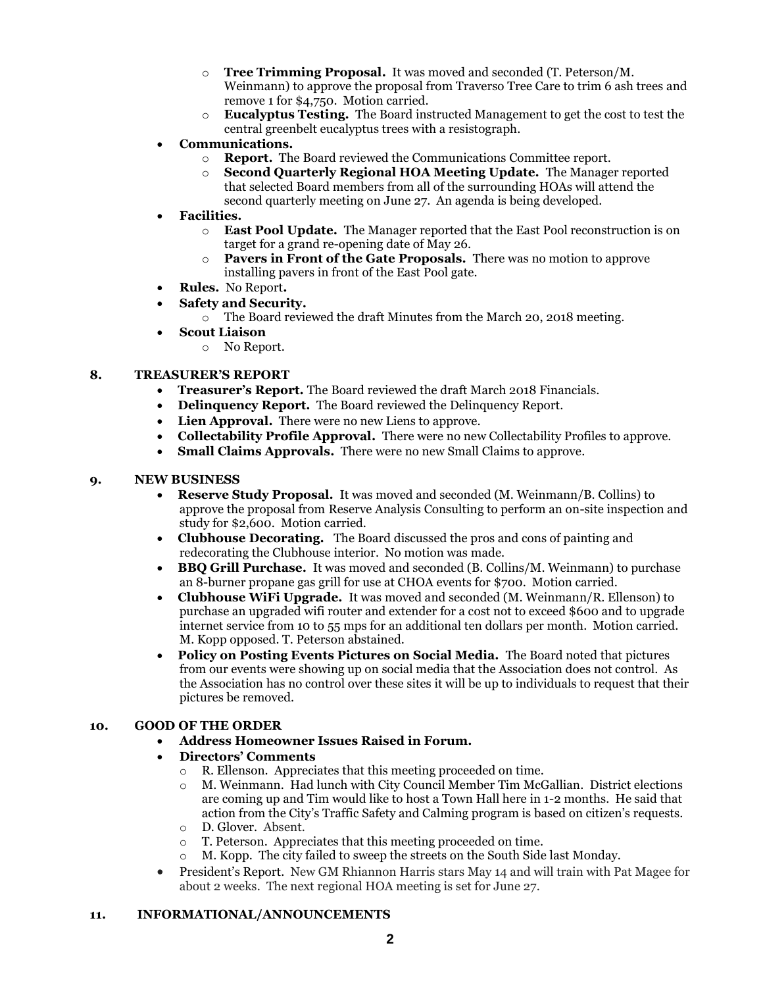- o **Tree Trimming Proposal.** It was moved and seconded (T. Peterson/M. Weinmann) to approve the proposal from Traverso Tree Care to trim 6 ash trees and remove 1 for \$4,750. Motion carried.
- o **Eucalyptus Testing.** The Board instructed Management to get the cost to test the central greenbelt eucalyptus trees with a resistograph.
- **Communications.** 
	- o **Report.** The Board reviewed the Communications Committee report.
	- o **Second Quarterly Regional HOA Meeting Update.** The Manager reported that selected Board members from all of the surrounding HOAs will attend the second quarterly meeting on June 27. An agenda is being developed.
- **Facilities.** 
	- o **East Pool Update.** The Manager reported that the East Pool reconstruction is on target for a grand re-opening date of May 26.
	- o **Pavers in Front of the Gate Proposals.** There was no motion to approve installing pavers in front of the East Pool gate.
- **Rules.** No Report**.**
- **Safety and Security.**
	- o The Board reviewed the draft Minutes from the March 20, 2018 meeting.
- **Scout Liaison**
	- o No Report.

#### **8. TREASURER'S REPORT**

- **Treasurer's Report.** The Board reviewed the draft March 2018 Financials.
- **Delinquency Report.** The Board reviewed the Delinquency Report.
- **Lien Approval.** There were no new Liens to approve.
- **Collectability Profile Approval.** There were no new Collectability Profiles to approve.
- **Small Claims Approvals.** There were no new Small Claims to approve.

## **9. NEW BUSINESS**

- **Reserve Study Proposal.** It was moved and seconded (M. Weinmann/B. Collins) to approve the proposal from Reserve Analysis Consulting to perform an on-site inspection and study for \$2,600. Motion carried.
- **Clubhouse Decorating.** The Board discussed the pros and cons of painting and redecorating the Clubhouse interior. No motion was made.
- **BBQ Grill Purchase.** It was moved and seconded (B. Collins/M. Weinmann) to purchase an 8-burner propane gas grill for use at CHOA events for \$700. Motion carried.
- **Clubhouse WiFi Upgrade.** It was moved and seconded (M. Weinmann/R. Ellenson) to purchase an upgraded wifi router and extender for a cost not to exceed \$600 and to upgrade internet service from 10 to 55 mps for an additional ten dollars per month. Motion carried. M. Kopp opposed. T. Peterson abstained.
- **Policy on Posting Events Pictures on Social Media.** The Board noted that pictures from our events were showing up on social media that the Association does not control. As the Association has no control over these sites it will be up to individuals to request that their pictures be removed.

### **10. GOOD OF THE ORDER**

• **Address Homeowner Issues Raised in Forum.** 

#### • **Directors' Comments**

- o R. Ellenson. Appreciates that this meeting proceeded on time.
- o M. Weinmann. Had lunch with City Council Member Tim McGallian. District elections are coming up and Tim would like to host a Town Hall here in 1-2 months. He said that action from the City's Traffic Safety and Calming program is based on citizen's requests.
- o D. Glover. Absent.
- o T. Peterson. Appreciates that this meeting proceeded on time.
- o M. Kopp. The city failed to sweep the streets on the South Side last Monday.
- President's Report. New GM Rhiannon Harris stars May 14 and will train with Pat Magee for about 2 weeks. The next regional HOA meeting is set for June 27.

#### **11. INFORMATIONAL/ANNOUNCEMENTS**